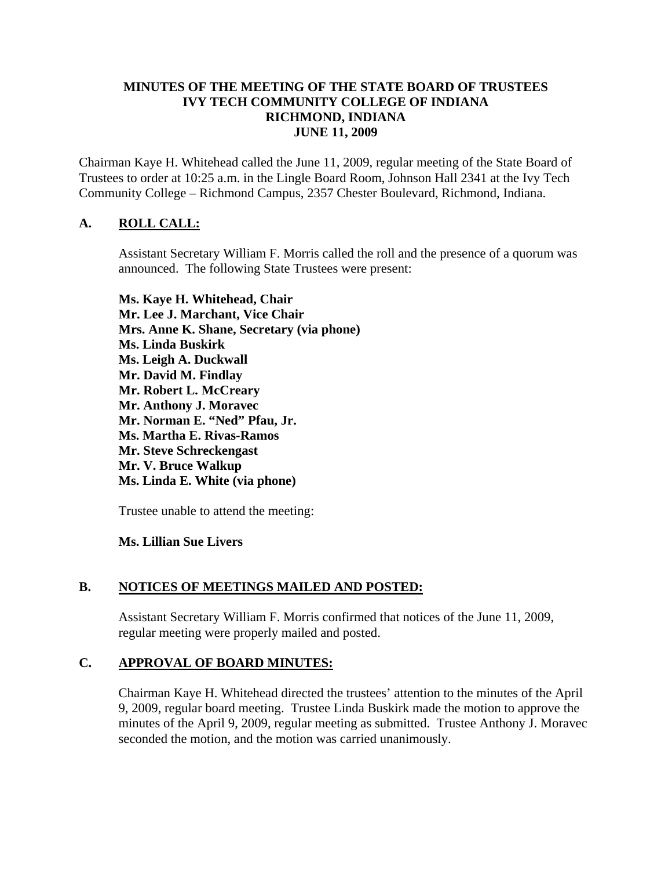#### **MINUTES OF THE MEETING OF THE STATE BOARD OF TRUSTEES IVY TECH COMMUNITY COLLEGE OF INDIANA RICHMOND, INDIANA JUNE 11, 2009**

Chairman Kaye H. Whitehead called the June 11, 2009, regular meeting of the State Board of Trustees to order at 10:25 a.m. in the Lingle Board Room, Johnson Hall 2341 at the Ivy Tech Community College – Richmond Campus, 2357 Chester Boulevard, Richmond, Indiana.

## **A. ROLL CALL:**

Assistant Secretary William F. Morris called the roll and the presence of a quorum was announced. The following State Trustees were present:

**Ms. Kaye H. Whitehead, Chair Mr. Lee J. Marchant, Vice Chair Mrs. Anne K. Shane, Secretary (via phone) Ms. Linda Buskirk Ms. Leigh A. Duckwall Mr. David M. Findlay Mr. Robert L. McCreary Mr. Anthony J. Moravec Mr. Norman E. "Ned" Pfau, Jr. Ms. Martha E. Rivas-Ramos Mr. Steve Schreckengast Mr. V. Bruce Walkup Ms. Linda E. White (via phone)** 

Trustee unable to attend the meeting:

## **Ms. Lillian Sue Livers**

## **B. NOTICES OF MEETINGS MAILED AND POSTED:**

Assistant Secretary William F. Morris confirmed that notices of the June 11, 2009, regular meeting were properly mailed and posted.

## **C. APPROVAL OF BOARD MINUTES:**

Chairman Kaye H. Whitehead directed the trustees' attention to the minutes of the April 9, 2009, regular board meeting. Trustee Linda Buskirk made the motion to approve the minutes of the April 9, 2009, regular meeting as submitted. Trustee Anthony J. Moravec seconded the motion, and the motion was carried unanimously.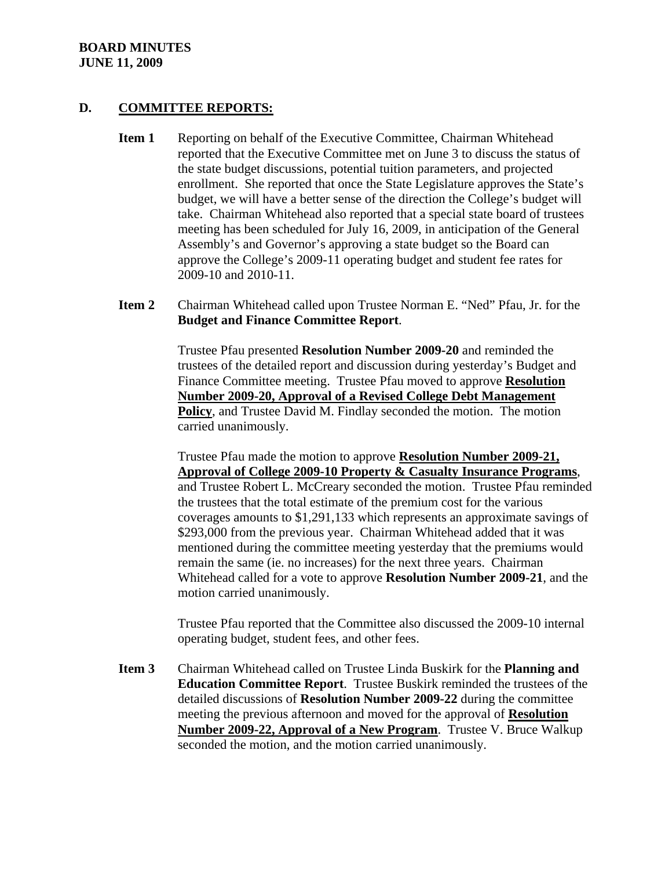#### **BOARD MINUTES JUNE 11, 2009**

#### **D. COMMITTEE REPORTS:**

- **Item 1** Reporting on behalf of the Executive Committee, Chairman Whitehead reported that the Executive Committee met on June 3 to discuss the status of the state budget discussions, potential tuition parameters, and projected enrollment. She reported that once the State Legislature approves the State's budget, we will have a better sense of the direction the College's budget will take. Chairman Whitehead also reported that a special state board of trustees meeting has been scheduled for July 16, 2009, in anticipation of the General Assembly's and Governor's approving a state budget so the Board can approve the College's 2009-11 operating budget and student fee rates for 2009-10 and 2010-11.
- **Item 2** Chairman Whitehead called upon Trustee Norman E. "Ned" Pfau, Jr. for the **Budget and Finance Committee Report**.

Trustee Pfau presented **Resolution Number 2009-20** and reminded the trustees of the detailed report and discussion during yesterday's Budget and Finance Committee meeting. Trustee Pfau moved to approve **Resolution Number 2009-20, Approval of a Revised College Debt Management Policy**, and Trustee David M. Findlay seconded the motion. The motion carried unanimously.

Trustee Pfau made the motion to approve **Resolution Number 2009-21, Approval of College 2009-10 Property & Casualty Insurance Programs**, and Trustee Robert L. McCreary seconded the motion. Trustee Pfau reminded the trustees that the total estimate of the premium cost for the various coverages amounts to \$1,291,133 which represents an approximate savings of \$293,000 from the previous year. Chairman Whitehead added that it was mentioned during the committee meeting yesterday that the premiums would remain the same (ie. no increases) for the next three years. Chairman Whitehead called for a vote to approve **Resolution Number 2009-21**, and the motion carried unanimously.

Trustee Pfau reported that the Committee also discussed the 2009-10 internal operating budget, student fees, and other fees.

**Item 3** Chairman Whitehead called on Trustee Linda Buskirk for the **Planning and Education Committee Report**. Trustee Buskirk reminded the trustees of the detailed discussions of **Resolution Number 2009-22** during the committee meeting the previous afternoon and moved for the approval of **Resolution Number 2009-22, Approval of a New Program**. Trustee V. Bruce Walkup seconded the motion, and the motion carried unanimously.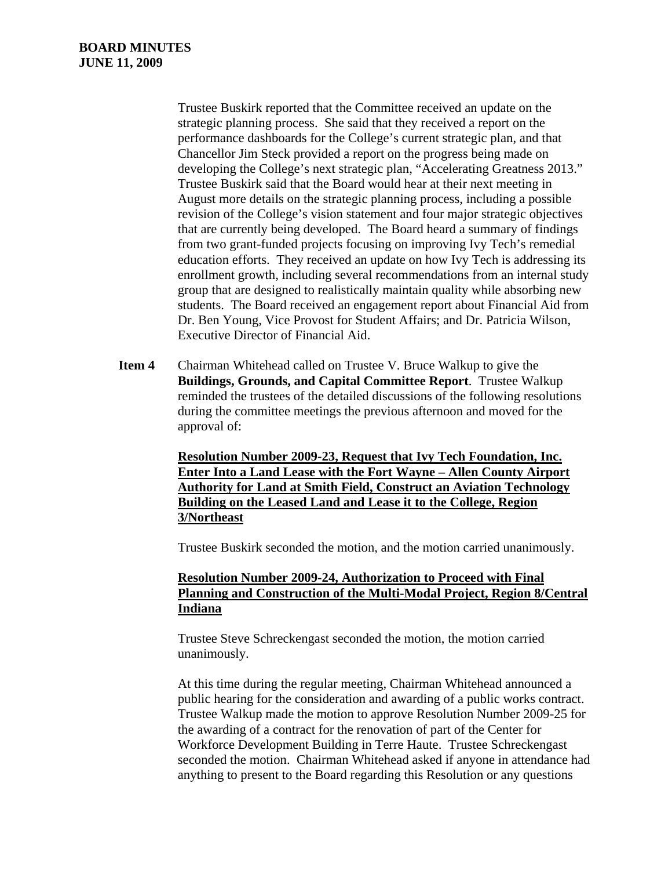Trustee Buskirk reported that the Committee received an update on the strategic planning process. She said that they received a report on the performance dashboards for the College's current strategic plan, and that Chancellor Jim Steck provided a report on the progress being made on developing the College's next strategic plan, "Accelerating Greatness 2013." Trustee Buskirk said that the Board would hear at their next meeting in August more details on the strategic planning process, including a possible revision of the College's vision statement and four major strategic objectives that are currently being developed. The Board heard a summary of findings from two grant-funded projects focusing on improving Ivy Tech's remedial education efforts. They received an update on how Ivy Tech is addressing its enrollment growth, including several recommendations from an internal study group that are designed to realistically maintain quality while absorbing new students. The Board received an engagement report about Financial Aid from Dr. Ben Young, Vice Provost for Student Affairs; and Dr. Patricia Wilson, Executive Director of Financial Aid.

**Item 4** Chairman Whitehead called on Trustee V. Bruce Walkup to give the **Buildings, Grounds, and Capital Committee Report**. Trustee Walkup reminded the trustees of the detailed discussions of the following resolutions during the committee meetings the previous afternoon and moved for the approval of:

> **Resolution Number 2009-23, Request that Ivy Tech Foundation, Inc. Enter Into a Land Lease with the Fort Wayne – Allen County Airport Authority for Land at Smith Field, Construct an Aviation Technology Building on the Leased Land and Lease it to the College, Region 3/Northeast**

Trustee Buskirk seconded the motion, and the motion carried unanimously.

#### **Resolution Number 2009-24, Authorization to Proceed with Final Planning and Construction of the Multi-Modal Project, Region 8/Central Indiana**

Trustee Steve Schreckengast seconded the motion, the motion carried unanimously.

At this time during the regular meeting, Chairman Whitehead announced a public hearing for the consideration and awarding of a public works contract. Trustee Walkup made the motion to approve Resolution Number 2009-25 for the awarding of a contract for the renovation of part of the Center for Workforce Development Building in Terre Haute. Trustee Schreckengast seconded the motion. Chairman Whitehead asked if anyone in attendance had anything to present to the Board regarding this Resolution or any questions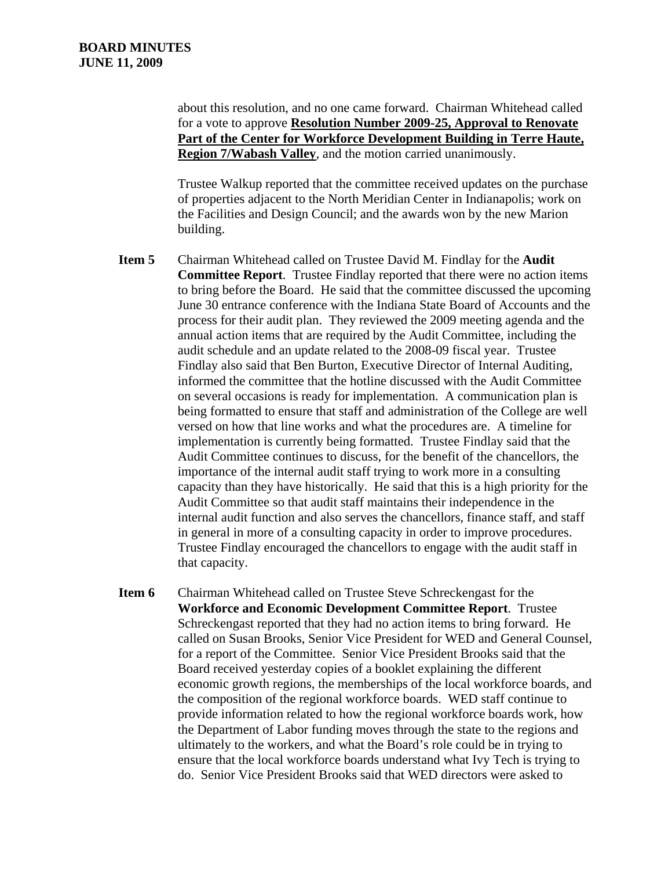about this resolution, and no one came forward. Chairman Whitehead called for a vote to approve **Resolution Number 2009-25, Approval to Renovate Part of the Center for Workforce Development Building in Terre Haute, Region 7/Wabash Valley**, and the motion carried unanimously.

Trustee Walkup reported that the committee received updates on the purchase of properties adjacent to the North Meridian Center in Indianapolis; work on the Facilities and Design Council; and the awards won by the new Marion building.

- **Item 5** Chairman Whitehead called on Trustee David M. Findlay for the **Audit Committee Report**. Trustee Findlay reported that there were no action items to bring before the Board. He said that the committee discussed the upcoming June 30 entrance conference with the Indiana State Board of Accounts and the process for their audit plan. They reviewed the 2009 meeting agenda and the annual action items that are required by the Audit Committee, including the audit schedule and an update related to the 2008-09 fiscal year. Trustee Findlay also said that Ben Burton, Executive Director of Internal Auditing, informed the committee that the hotline discussed with the Audit Committee on several occasions is ready for implementation. A communication plan is being formatted to ensure that staff and administration of the College are well versed on how that line works and what the procedures are. A timeline for implementation is currently being formatted. Trustee Findlay said that the Audit Committee continues to discuss, for the benefit of the chancellors, the importance of the internal audit staff trying to work more in a consulting capacity than they have historically. He said that this is a high priority for the Audit Committee so that audit staff maintains their independence in the internal audit function and also serves the chancellors, finance staff, and staff in general in more of a consulting capacity in order to improve procedures. Trustee Findlay encouraged the chancellors to engage with the audit staff in that capacity.
- **Item 6** Chairman Whitehead called on Trustee Steve Schreckengast for the **Workforce and Economic Development Committee Report**. Trustee Schreckengast reported that they had no action items to bring forward. He called on Susan Brooks, Senior Vice President for WED and General Counsel, for a report of the Committee. Senior Vice President Brooks said that the Board received yesterday copies of a booklet explaining the different economic growth regions, the memberships of the local workforce boards, and the composition of the regional workforce boards. WED staff continue to provide information related to how the regional workforce boards work, how the Department of Labor funding moves through the state to the regions and ultimately to the workers, and what the Board's role could be in trying to ensure that the local workforce boards understand what Ivy Tech is trying to do. Senior Vice President Brooks said that WED directors were asked to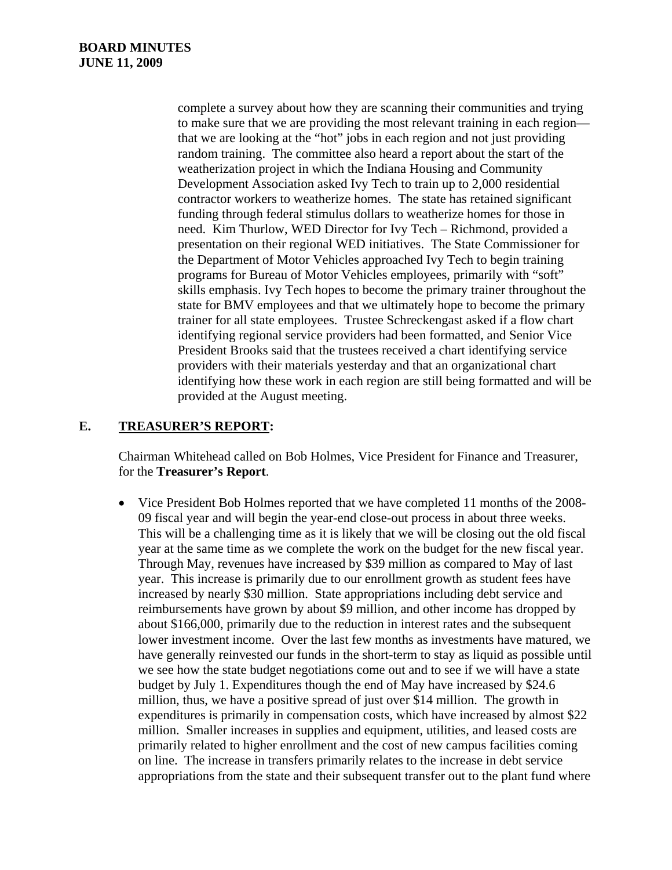complete a survey about how they are scanning their communities and trying to make sure that we are providing the most relevant training in each region that we are looking at the "hot" jobs in each region and not just providing random training. The committee also heard a report about the start of the weatherization project in which the Indiana Housing and Community Development Association asked Ivy Tech to train up to 2,000 residential contractor workers to weatherize homes. The state has retained significant funding through federal stimulus dollars to weatherize homes for those in need. Kim Thurlow, WED Director for Ivy Tech – Richmond, provided a presentation on their regional WED initiatives. The State Commissioner for the Department of Motor Vehicles approached Ivy Tech to begin training programs for Bureau of Motor Vehicles employees, primarily with "soft" skills emphasis. Ivy Tech hopes to become the primary trainer throughout the state for BMV employees and that we ultimately hope to become the primary trainer for all state employees. Trustee Schreckengast asked if a flow chart identifying regional service providers had been formatted, and Senior Vice President Brooks said that the trustees received a chart identifying service providers with their materials yesterday and that an organizational chart identifying how these work in each region are still being formatted and will be provided at the August meeting.

## **E. TREASURER'S REPORT:**

Chairman Whitehead called on Bob Holmes, Vice President for Finance and Treasurer, for the **Treasurer's Report**.

• Vice President Bob Holmes reported that we have completed 11 months of the 2008- 09 fiscal year and will begin the year-end close-out process in about three weeks. This will be a challenging time as it is likely that we will be closing out the old fiscal year at the same time as we complete the work on the budget for the new fiscal year. Through May, revenues have increased by \$39 million as compared to May of last year. This increase is primarily due to our enrollment growth as student fees have increased by nearly \$30 million. State appropriations including debt service and reimbursements have grown by about \$9 million, and other income has dropped by about \$166,000, primarily due to the reduction in interest rates and the subsequent lower investment income. Over the last few months as investments have matured, we have generally reinvested our funds in the short-term to stay as liquid as possible until we see how the state budget negotiations come out and to see if we will have a state budget by July 1. Expenditures though the end of May have increased by \$24.6 million, thus, we have a positive spread of just over \$14 million. The growth in expenditures is primarily in compensation costs, which have increased by almost \$22 million. Smaller increases in supplies and equipment, utilities, and leased costs are primarily related to higher enrollment and the cost of new campus facilities coming on line. The increase in transfers primarily relates to the increase in debt service appropriations from the state and their subsequent transfer out to the plant fund where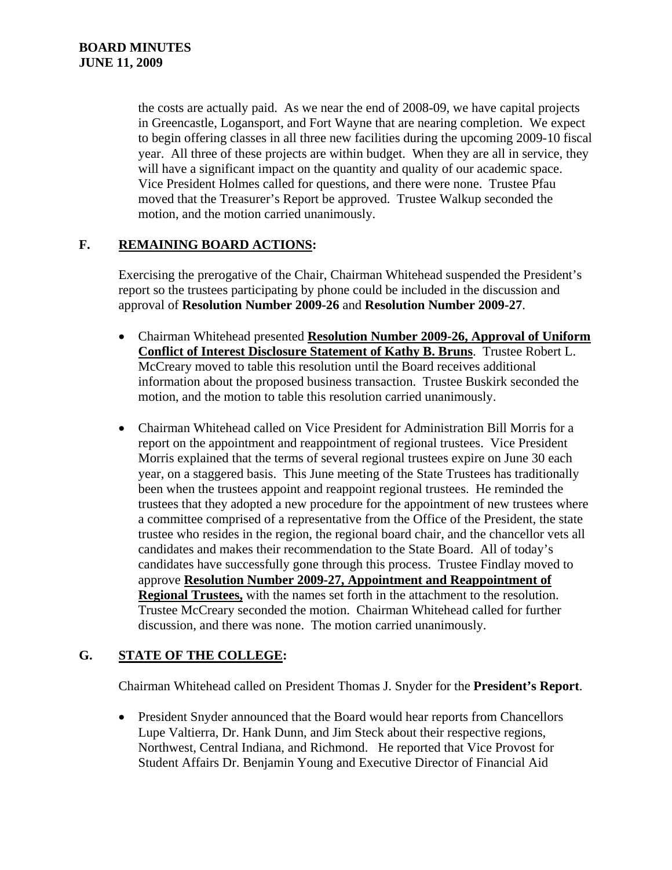the costs are actually paid. As we near the end of 2008-09, we have capital projects in Greencastle, Logansport, and Fort Wayne that are nearing completion. We expect to begin offering classes in all three new facilities during the upcoming 2009-10 fiscal year. All three of these projects are within budget. When they are all in service, they will have a significant impact on the quantity and quality of our academic space. Vice President Holmes called for questions, and there were none. Trustee Pfau moved that the Treasurer's Report be approved. Trustee Walkup seconded the motion, and the motion carried unanimously.

## **F. REMAINING BOARD ACTIONS:**

Exercising the prerogative of the Chair, Chairman Whitehead suspended the President's report so the trustees participating by phone could be included in the discussion and approval of **Resolution Number 2009-26** and **Resolution Number 2009-27**.

- Chairman Whitehead presented **Resolution Number 2009-26, Approval of Uniform Conflict of Interest Disclosure Statement of Kathy B. Bruns**. Trustee Robert L. McCreary moved to table this resolution until the Board receives additional information about the proposed business transaction. Trustee Buskirk seconded the motion, and the motion to table this resolution carried unanimously.
- Chairman Whitehead called on Vice President for Administration Bill Morris for a report on the appointment and reappointment of regional trustees. Vice President Morris explained that the terms of several regional trustees expire on June 30 each year, on a staggered basis. This June meeting of the State Trustees has traditionally been when the trustees appoint and reappoint regional trustees. He reminded the trustees that they adopted a new procedure for the appointment of new trustees where a committee comprised of a representative from the Office of the President, the state trustee who resides in the region, the regional board chair, and the chancellor vets all candidates and makes their recommendation to the State Board. All of today's candidates have successfully gone through this process. Trustee Findlay moved to approve **Resolution Number 2009-27, Appointment and Reappointment of Regional Trustees,** with the names set forth in the attachment to the resolution. Trustee McCreary seconded the motion. Chairman Whitehead called for further discussion, and there was none. The motion carried unanimously.

# **G. STATE OF THE COLLEGE:**

Chairman Whitehead called on President Thomas J. Snyder for the **President's Report**.

• President Snyder announced that the Board would hear reports from Chancellors Lupe Valtierra, Dr. Hank Dunn, and Jim Steck about their respective regions, Northwest, Central Indiana, and Richmond. He reported that Vice Provost for Student Affairs Dr. Benjamin Young and Executive Director of Financial Aid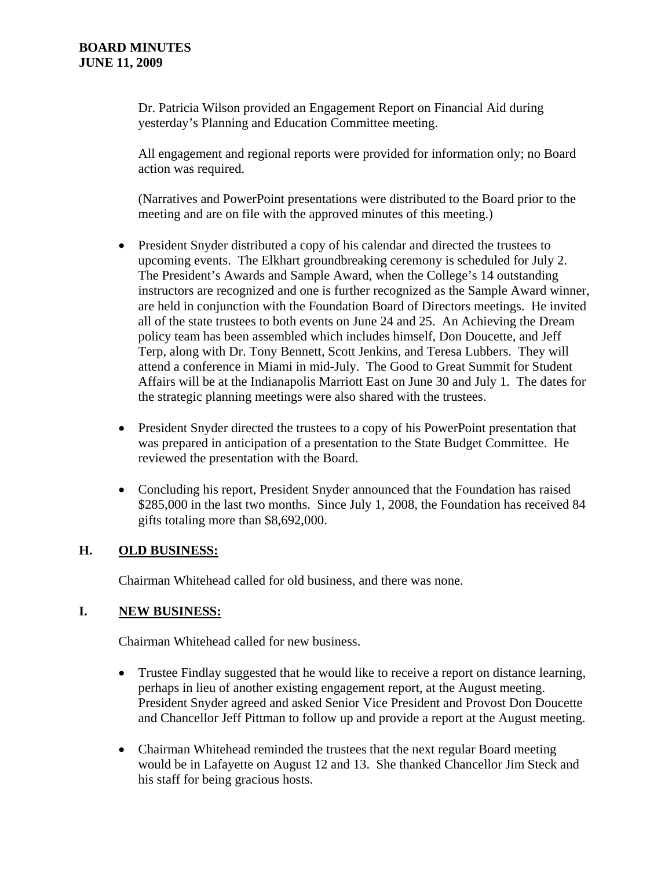Dr. Patricia Wilson provided an Engagement Report on Financial Aid during yesterday's Planning and Education Committee meeting.

All engagement and regional reports were provided for information only; no Board action was required.

(Narratives and PowerPoint presentations were distributed to the Board prior to the meeting and are on file with the approved minutes of this meeting.)

- President Snyder distributed a copy of his calendar and directed the trustees to upcoming events. The Elkhart groundbreaking ceremony is scheduled for July 2. The President's Awards and Sample Award, when the College's 14 outstanding instructors are recognized and one is further recognized as the Sample Award winner, are held in conjunction with the Foundation Board of Directors meetings. He invited all of the state trustees to both events on June 24 and 25. An Achieving the Dream policy team has been assembled which includes himself, Don Doucette, and Jeff Terp, along with Dr. Tony Bennett, Scott Jenkins, and Teresa Lubbers. They will attend a conference in Miami in mid-July. The Good to Great Summit for Student Affairs will be at the Indianapolis Marriott East on June 30 and July 1. The dates for the strategic planning meetings were also shared with the trustees.
- President Snyder directed the trustees to a copy of his PowerPoint presentation that was prepared in anticipation of a presentation to the State Budget Committee. He reviewed the presentation with the Board.
- Concluding his report, President Snyder announced that the Foundation has raised \$285,000 in the last two months. Since July 1, 2008, the Foundation has received 84 gifts totaling more than \$8,692,000.

# **H. OLD BUSINESS:**

Chairman Whitehead called for old business, and there was none.

## **I. NEW BUSINESS:**

Chairman Whitehead called for new business.

- Trustee Findlay suggested that he would like to receive a report on distance learning, perhaps in lieu of another existing engagement report, at the August meeting. President Snyder agreed and asked Senior Vice President and Provost Don Doucette and Chancellor Jeff Pittman to follow up and provide a report at the August meeting.
- Chairman Whitehead reminded the trustees that the next regular Board meeting would be in Lafayette on August 12 and 13. She thanked Chancellor Jim Steck and his staff for being gracious hosts.